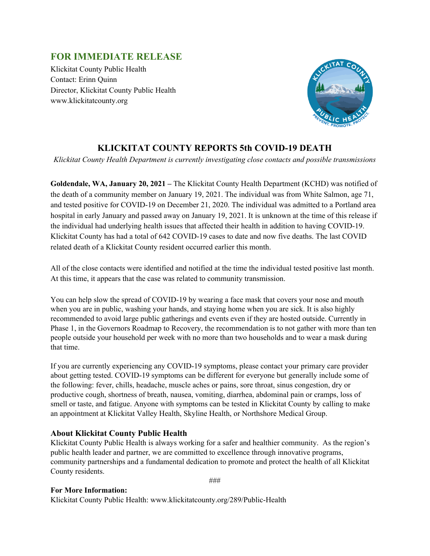## **FOR IMMEDIATE RELEASE**

Klickitat County Public Health Contact: Erinn Quinn Director, Klickitat County Public Health www.klickitatcounty.org



## **KLICKITAT COUNTY REPORTS 5th COVID-19 DEATH**

*Klickitat County Health Department is currently investigating close contacts and possible transmissions*

**Goldendale, WA, January 20, 2021 –** The Klickitat County Health Department (KCHD) was notified of the death of a community member on January 19, 2021. The individual was from White Salmon, age 71, and tested positive for COVID-19 on December 21, 2020. The individual was admitted to a Portland area hospital in early January and passed away on January 19, 2021. It is unknown at the time of this release if the individual had underlying health issues that affected their health in addition to having COVID-19. Klickitat County has had a total of 642 COVID-19 cases to date and now five deaths. The last COVID related death of a Klickitat County resident occurred earlier this month.

All of the close contacts were identified and notified at the time the individual tested positive last month. At this time, it appears that the case was related to community transmission.

You can help slow the spread of COVID-19 by wearing a face mask that covers your nose and mouth when you are in public, washing your hands, and staying home when you are sick. It is also highly recommended to avoid large public gatherings and events even if they are hosted outside. Currently in Phase 1, in the Governors Roadmap to Recovery, the recommendation is to not gather with more than ten people outside your household per week with no more than two households and to wear a mask during that time.

If you are currently experiencing any COVID-19 symptoms, please contact your primary care provider about getting tested. COVID-19 symptoms can be different for everyone but generally include some of the following: fever, chills, headache, muscle aches or pains, sore throat, sinus congestion, dry or productive cough, shortness of breath, nausea, vomiting, diarrhea, abdominal pain or cramps, loss of smell or taste, and fatigue. Anyone with symptoms can be tested in Klickitat County by calling to make an appointment at Klickitat Valley Health, Skyline Health, or Northshore Medical Group.

## **About Klickitat County Public Health**

Klickitat County Public Health is always working for a safer and healthier community. As the region's public health leader and partner, we are committed to excellence through innovative programs, community partnerships and a fundamental dedication to promote and protect the health of all Klickitat County residents.

###

## **For More Information:**

Klickitat County Public Health: www.klickitatcounty.org/289/Public-Health